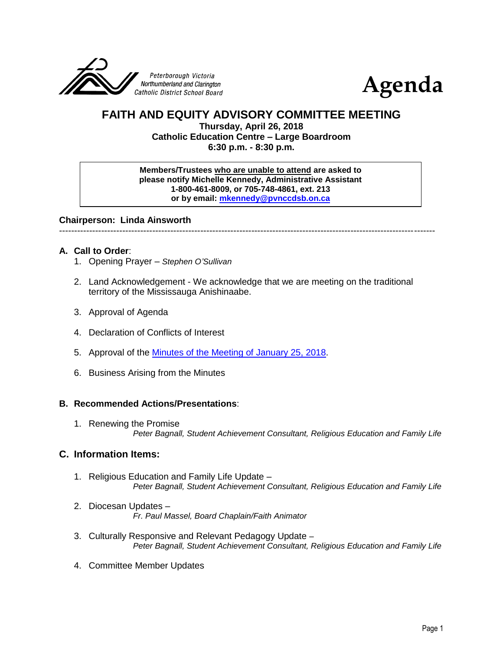



# **FAITH AND EQUITY ADVISORY COMMITTEE MEETING**

**Thursday, April 26, 2018 Catholic Education Centre – Large Boardroom 6:30 p.m. - 8:30 p.m.**

**Members/Trustees who are unable to attend are asked to please notify Michelle Kennedy, Administrative Assistant 1-800-461-8009, or 705-748-4861, ext. 213 or by email: [mkennedy@pvnccdsb.on.ca](mailto:mkennedy@pvnccdsb.on.ca)**

**Chairperson: Linda Ainsworth**

-----------------------------------------------------------------------------------------------------------------------------

## **A. Call to Order**:

- 1. Opening Prayer *Stephen O'Sullivan*
- 2. Land Acknowledgement We acknowledge that we are meeting on the traditional territory of the Mississauga Anishinaabe.
- 3. Approval of Agenda
- 4. Declaration of Conflicts of Interest
- 5. Approval of the Minutes [of the Meeting of January 25, 2018.](https://drive.google.com/file/d/1PeolDYeZnHDewJaeABZXeFxyB5r-hziO/view?usp=sharing)
- 6. Business Arising from the Minutes

## **B. Recommended Actions/Presentations**:

1. Renewing the Promise *Peter Bagnall, Student Achievement Consultant, Religious Education and Family Life*

## **C. Information Items:**

- 1. Religious Education and Family Life Update *Peter Bagnall, Student Achievement Consultant, Religious Education and Family Life*
- 2. Diocesan Updates *Fr. Paul Massel, Board Chaplain/Faith Animator*
- 3. Culturally Responsive and Relevant Pedagogy Update *Peter Bagnall, Student Achievement Consultant, Religious Education and Family Life*
- 4. Committee Member Updates